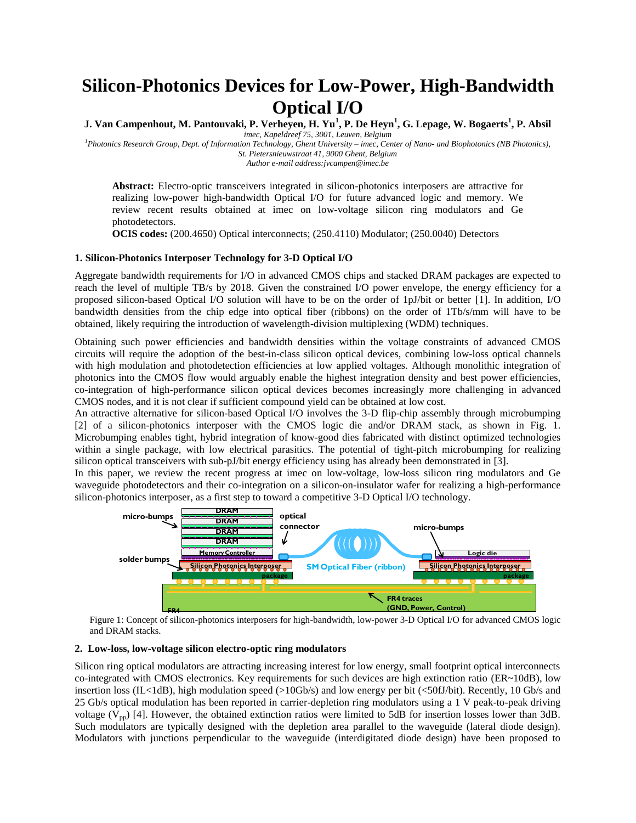# **Silicon-Photonics Devices for Low-Power, High-Bandwidth Optical I/O**

**J. Van Campenhout, M. Pantouvaki, P. Verheyen, H. Yu<sup>1</sup> , P. De Heyn<sup>1</sup> , G. Lepage, W. Bogaerts<sup>1</sup> , P. Absil**

*imec, Kapeldreef 75, 3001, Leuven, Belgium <sup>1</sup>Photonics Research Group, Dept. of Information Technology, Ghent University – imec, Center of Nano- and Biophotonics (NB Photonics), St. Pietersnieuwstraat 41, 9000 Ghent, Belgium*

*Author e-mail address:jvcampen@imec.be*

**Abstract:** Electro-optic transceivers integrated in silicon-photonics interposers are attractive for realizing low-power high-bandwidth Optical I/O for future advanced logic and memory. We review recent results obtained at imec on low-voltage silicon ring modulators and Ge photodetectors.

**OCIS codes:** (200.4650) Optical interconnects; (250.4110) Modulator; (250.0040) Detectors

## **1. Silicon-Photonics Interposer Technology for 3-D Optical I/O**

Aggregate bandwidth requirements for I/O in advanced CMOS chips and stacked DRAM packages are expected to reach the level of multiple TB/s by 2018. Given the constrained I/O power envelope, the energy efficiency for a proposed silicon-based Optical I/O solution will have to be on the order of 1pJ/bit or better [1]. In addition, I/O bandwidth densities from the chip edge into optical fiber (ribbons) on the order of 1Tb/s/mm will have to be obtained, likely requiring the introduction of wavelength-division multiplexing (WDM) techniques.

Obtaining such power efficiencies and bandwidth densities within the voltage constraints of advanced CMOS circuits will require the adoption of the best-in-class silicon optical devices, combining low-loss optical channels with high modulation and photodetection efficiencies at low applied voltages. Although monolithic integration of photonics into the CMOS flow would arguably enable the highest integration density and best power efficiencies, co-integration of high-performance silicon optical devices becomes increasingly more challenging in advanced CMOS nodes, and it is not clear if sufficient compound yield can be obtained at low cost.

An attractive alternative for silicon-based Optical I/O involves the 3-D flip-chip assembly through microbumping [2] of a silicon-photonics interposer with the CMOS logic die and/or DRAM stack, as shown in Fig. 1. Microbumping enables tight, hybrid integration of know-good dies fabricated with distinct optimized technologies within a single package, with low electrical parasitics. The potential of tight-pitch microbumping for realizing silicon optical transceivers with sub-pJ/bit energy efficiency using has already been demonstrated in [3].

In this paper, we review the recent progress at imec on low-voltage, low-loss silicon ring modulators and Ge waveguide photodetectors and their co-integration on a silicon-on-insulator wafer for realizing a high-performance silicon-photonics interposer, as a first step to toward a competitive 3-D Optical I/O technology.



Figure 1: Concept of silicon-photonics interposers for high-bandwidth, low-power 3-D Optical I/O for advanced CMOS logic and DRAM stacks.

### **2. Low-loss, low-voltage silicon electro-optic ring modulators**

Silicon ring optical modulators are attracting increasing interest for low energy, small footprint optical interconnects co-integrated with CMOS electronics. Key requirements for such devices are high extinction ratio (ER~10dB), low insertion loss (IL<1dB), high modulation speed (>10Gb/s) and low energy per bit (<50fJ/bit). Recently, 10 Gb/s and 25 Gb/s optical modulation has been reported in carrier-depletion ring modulators using a 1 V peak-to-peak driving voltage  $(V_{pp})$  [4]. However, the obtained extinction ratios were limited to 5dB for insertion losses lower than 3dB. Such modulators are typically designed with the depletion area parallel to the waveguide (lateral diode design). Modulators with junctions perpendicular to the waveguide (interdigitated diode design) have been proposed to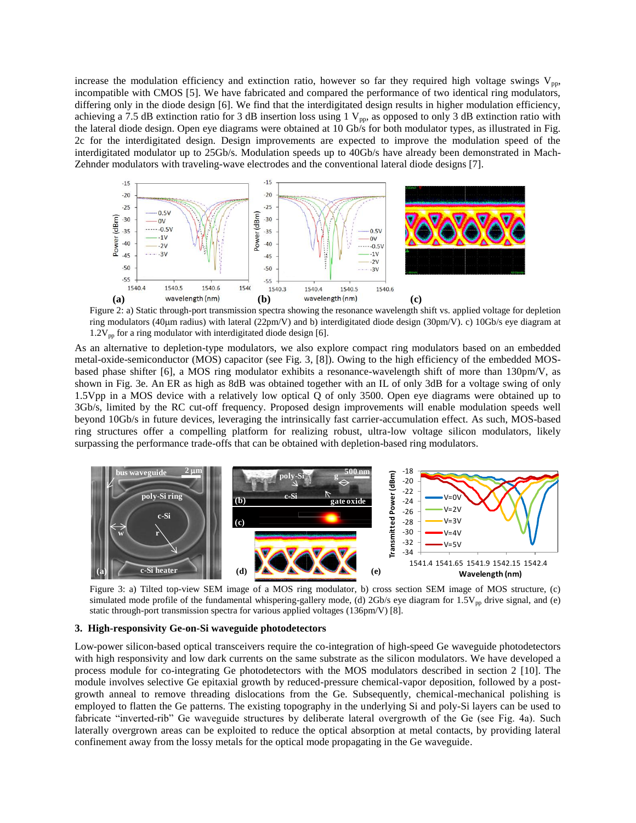increase the modulation efficiency and extinction ratio, however so far they required high voltage swings  $V_{\text{pp}}$ , incompatible with CMOS [5]. We have fabricated and compared the performance of two identical ring modulators, differing only in the diode design [6]. We find that the interdigitated design results in higher modulation efficiency, achieving a 7.5 dB extinction ratio for 3 dB insertion loss using 1  $V_{pp}$ , as opposed to only 3 dB extinction ratio with the lateral diode design. Open eye diagrams were obtained at 10 Gb/s for both modulator types, as illustrated in Fig. 2c for the interdigitated design. Design improvements are expected to improve the modulation speed of the interdigitated modulator up to 25Gb/s. Modulation speeds up to 40Gb/s have already been demonstrated in Mach-Zehnder modulators with traveling-wave electrodes and the conventional lateral diode designs [7].



Figure 2: a) Static through-port transmission spectra showing the resonance wavelength shift vs. applied voltage for depletion ring modulators (40m radius) with lateral (22pm/V) and b) interdigitated diode design (30pm/V). c) 10Gb/s eye diagram at  $1.2V_{pp}$  for a ring modulator with interdigitated diode design [6].

As an alternative to depletion-type modulators, we also explore compact ring modulators based on an embedded metal-oxide-semiconductor (MOS) capacitor (see Fig. 3, [8]). Owing to the high efficiency of the embedded MOSbased phase shifter [6], a MOS ring modulator exhibits a resonance-wavelength shift of more than 130pm/V, as shown in Fig. 3e. An ER as high as 8dB was obtained together with an IL of only 3dB for a voltage swing of only 1.5Vpp in a MOS device with a relatively low optical Q of only 3500. Open eye diagrams were obtained up to 3Gb/s, limited by the RC cut-off frequency. Proposed design improvements will enable modulation speeds well beyond 10Gb/s in future devices, leveraging the intrinsically fast carrier-accumulation effect. As such, MOS-based beyond 1000/s in future devices, leveraging the infinistically fast carrier-accumulation effect. As such, MOS-based<br>ring structures offer a compelling platform for realizing robust, ultra-low voltage silicon modulators, l surpassing the performance trade-offs that can be obtained with depletion-based ring modulators.



Figure 3: a) Tilted top-view SEM image of a MOS ring modulator, b) cross section SEM image of MOS structure, (c) simulated mode profile of the fundamental whispering-gallery mode, (d)  $2Gb/s$  eye diagram for  $1.5V_{pp}$  drive signal, and (e) static through-port transmission spectra for various applied voltages (136pm/V) [8].

#### **3. High-responsivity Ge-on-Si waveguide photodetectors**

Low-power silicon-based optical transceivers require the co-integration of high-speed Ge waveguide photodetectors with high responsivity and low dark currents on the same substrate as the silicon modulators. We have developed a process module for co-integrating Ge photodetectors with the MOS modulators described in section 2 [10]. The module involves selective Ge epitaxial growth by reduced-pressure chemical-vapor deposition, followed by a postgrowth anneal to remove threading dislocations from the Ge. Subsequently, chemical-mechanical polishing is employed to flatten the Ge patterns. The existing topography in the underlying Si and poly-Si layers can be used to fabricate "inverted-rib" Ge waveguide structures by deliberate lateral overgrowth of the Ge (see Fig. 4a). Such laterally overgrown areas can be exploited to reduce the optical absorption at metal contacts, by providing lateral confinement away from the lossy metals for the optical mode propagating in the Ge waveguide.